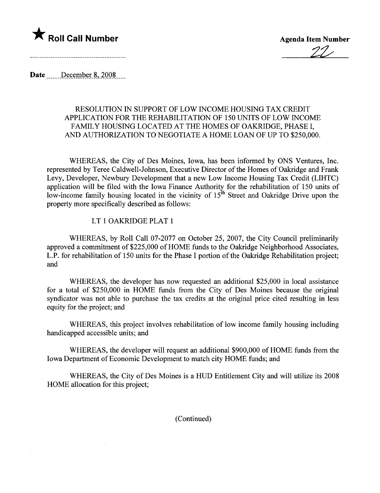

2z"

Date December 8, 2008

## RESOLUTION IN SUPPORT OF LOW INCOME HOUSING TAX CREDIT APPLICATION FOR THE REHABILITATION OF 150 UNITS OF LOW INCOME FAMILY HOUSING LOCATED AT THE HOMES OF OAKRIDGE, PHASE I, AND AUTHORIZATION TO NEGOTIATE A HOME LOAN OF UP TO \$250,000.

WHEREAS, the City of Des Moines, Iowa, has been informed by ONS Ventures, Inc. represented by Teree Caldwell-Johnson, Executive Director of the Homes of Oakridge and Frank Levy, Developer, Newbury Development that a new Low Income Housing Tax Credit (LIHTC) application wil be fied with the Iowa Finance Authority for the rehabilitation of 150 units of low-income family housing located in the vicinity of  $15<sup>th</sup>$  Street and Oakridge Drive upon the property more specifically described as follows:

## LT 1 OAKRDGE PLAT 1

WHEREAS, by Roll Call 07-2077 on October 25, 2007, the City Council preliminarly approved a commitment of \$225,000 of HOME funds to the Oakridge Neighborhood Associates, L.P. for rehabilitation of 150 units for the Phase I portion of the Oakridge Rehabilitation project; and

WHEREAS, the developer has now requested an additional \$25,000 in local assistance for a total of \$250,000 in HOME fuds from the City of Des Moines because the original syndicator was not able to purchase the tax credits at the original price cited resulting in less equity for the project; and

WHEREAS, this project involves rehabilitation of low income family housing including handicapped accessible units; and

WHEREAS, the developer will request an additional \$900,000 of HOME funds from the Iowa Deparment of Economic Development to match city HOME fuds; and

WHEREAS, the City of Des Moines is a HUD Entitlement City and will utilize its 2008 HOME allocation for this project;

(Continued)